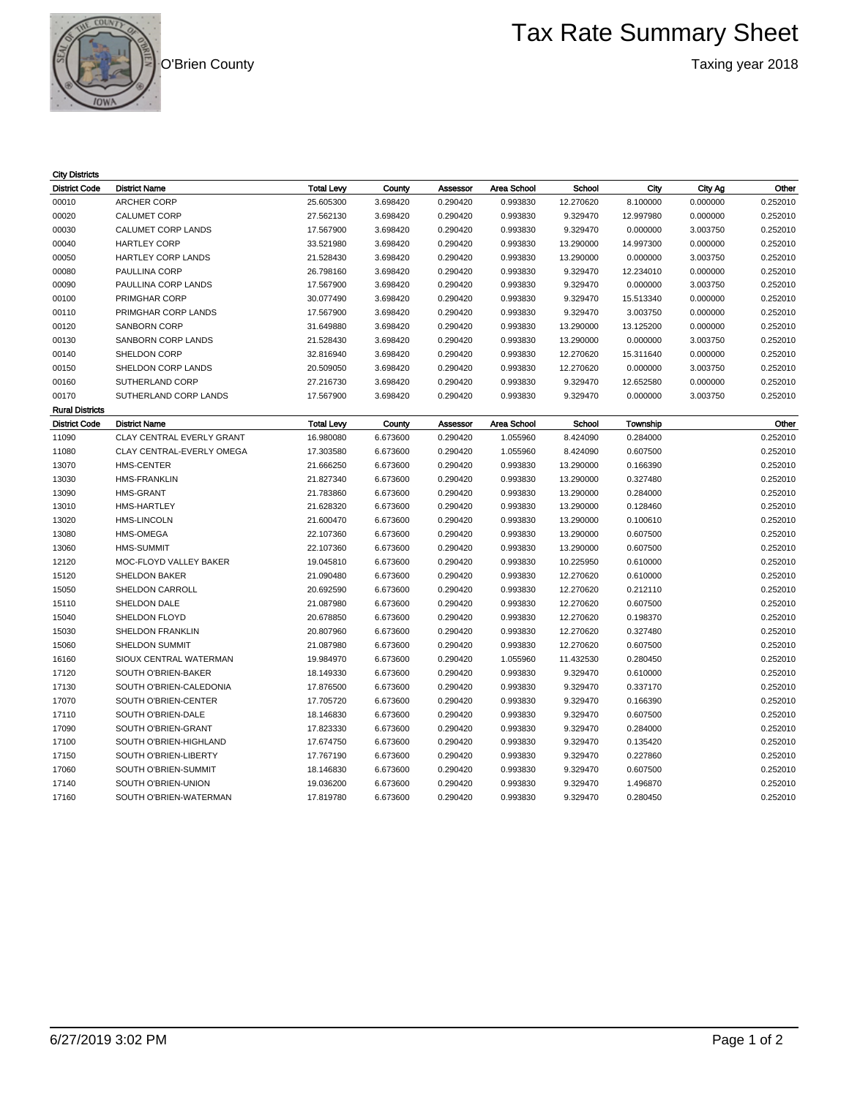O'Brien County

**COUNT** 

## Tax Rate Summary Sheet

Taxing year 2018

| <b>City Districts</b>  |                           |                   |          |          |             |           |           |          |          |
|------------------------|---------------------------|-------------------|----------|----------|-------------|-----------|-----------|----------|----------|
| <b>District Code</b>   | <b>District Name</b>      | <b>Total Levy</b> | County   | Assessor | Area School | School    | City      | City Ag  | Other    |
| 00010                  | <b>ARCHER CORP</b>        | 25.605300         | 3.698420 | 0.290420 | 0.993830    | 12.270620 | 8.100000  | 0.000000 | 0.252010 |
| 00020                  | <b>CALUMET CORP</b>       | 27.562130         | 3.698420 | 0.290420 | 0.993830    | 9.329470  | 12.997980 | 0.000000 | 0.252010 |
| 00030                  | CALUMET CORP LANDS        | 17.567900         | 3.698420 | 0.290420 | 0.993830    | 9.329470  | 0.000000  | 3.003750 | 0.252010 |
| 00040                  | <b>HARTLEY CORP</b>       | 33.521980         | 3.698420 | 0.290420 | 0.993830    | 13.290000 | 14.997300 | 0.000000 | 0.252010 |
| 00050                  | <b>HARTLEY CORP LANDS</b> | 21.528430         | 3.698420 | 0.290420 | 0.993830    | 13.290000 | 0.000000  | 3.003750 | 0.252010 |
| 00080                  | <b>PAULLINA CORP</b>      | 26.798160         | 3.698420 | 0.290420 | 0.993830    | 9.329470  | 12.234010 | 0.000000 | 0.252010 |
| 00090                  | PAULLINA CORP LANDS       | 17.567900         | 3.698420 | 0.290420 | 0.993830    | 9.329470  | 0.000000  | 3.003750 | 0.252010 |
| 00100                  | PRIMGHAR CORP             | 30.077490         | 3.698420 | 0.290420 | 0.993830    | 9.329470  | 15.513340 | 0.000000 | 0.252010 |
| 00110                  | PRIMGHAR CORP LANDS       | 17.567900         | 3.698420 | 0.290420 | 0.993830    | 9.329470  | 3.003750  | 0.000000 | 0.252010 |
| 00120                  | <b>SANBORN CORP</b>       | 31.649880         | 3.698420 | 0.290420 | 0.993830    | 13.290000 | 13.125200 | 0.000000 | 0.252010 |
| 00130                  | SANBORN CORP LANDS        | 21.528430         | 3.698420 | 0.290420 | 0.993830    | 13.290000 | 0.000000  | 3.003750 | 0.252010 |
| 00140                  | SHELDON CORP              | 32.816940         | 3.698420 | 0.290420 | 0.993830    | 12.270620 | 15.311640 | 0.000000 | 0.252010 |
| 00150                  | SHELDON CORP LANDS        | 20.509050         | 3.698420 | 0.290420 | 0.993830    | 12.270620 | 0.000000  | 3.003750 | 0.252010 |
| 00160                  | SUTHERLAND CORP           | 27.216730         | 3.698420 | 0.290420 | 0.993830    | 9.329470  | 12.652580 | 0.000000 | 0.252010 |
| 00170                  | SUTHERLAND CORP LANDS     | 17.567900         | 3.698420 | 0.290420 | 0.993830    | 9.329470  | 0.000000  | 3.003750 | 0.252010 |
| <b>Rural Districts</b> |                           |                   |          |          |             |           |           |          |          |
| <b>District Code</b>   | <b>District Name</b>      | <b>Total Levy</b> | County   | Assessor | Area School | School    | Township  |          | Other    |
| 11090                  | CLAY CENTRAL EVERLY GRANT | 16.980080         | 6.673600 | 0.290420 | 1.055960    | 8.424090  | 0.284000  |          | 0.252010 |
| 11080                  | CLAY CENTRAL-EVERLY OMEGA | 17.303580         | 6.673600 | 0.290420 | 1.055960    | 8.424090  | 0.607500  |          | 0.252010 |
| 13070                  | <b>HMS-CENTER</b>         | 21.666250         | 6.673600 | 0.290420 | 0.993830    | 13.290000 | 0.166390  |          | 0.252010 |
| 13030                  | <b>HMS-FRANKLIN</b>       | 21.827340         | 6.673600 | 0.290420 | 0.993830    | 13.290000 | 0.327480  |          | 0.252010 |
| 13090                  | <b>HMS-GRANT</b>          | 21.783860         | 6.673600 | 0.290420 | 0.993830    | 13.290000 | 0.284000  |          | 0.252010 |
| 13010                  | <b>HMS-HARTLEY</b>        | 21.628320         | 6.673600 | 0.290420 | 0.993830    | 13.290000 | 0.128460  |          | 0.252010 |
| 13020                  | <b>HMS-LINCOLN</b>        | 21.600470         | 6.673600 | 0.290420 | 0.993830    | 13.290000 | 0.100610  |          | 0.252010 |
| 13080                  | HMS-OMEGA                 | 22.107360         | 6.673600 | 0.290420 | 0.993830    | 13.290000 | 0.607500  |          | 0.252010 |
| 13060                  | <b>HMS-SUMMIT</b>         | 22.107360         | 6.673600 | 0.290420 | 0.993830    | 13.290000 | 0.607500  |          | 0.252010 |
| 12120                  | MOC-FLOYD VALLEY BAKER    | 19.045810         | 6.673600 | 0.290420 | 0.993830    | 10.225950 | 0.610000  |          | 0.252010 |
| 15120                  | <b>SHELDON BAKER</b>      | 21.090480         | 6.673600 | 0.290420 | 0.993830    | 12.270620 | 0.610000  |          | 0.252010 |
| 15050                  | SHELDON CARROLL           | 20.692590         | 6.673600 | 0.290420 | 0.993830    | 12.270620 | 0.212110  |          | 0.252010 |
| 15110                  | SHELDON DALE              | 21.087980         | 6.673600 | 0.290420 | 0.993830    | 12.270620 | 0.607500  |          | 0.252010 |
| 15040                  | SHELDON FLOYD             | 20.678850         | 6.673600 | 0.290420 | 0.993830    | 12.270620 | 0.198370  |          | 0.252010 |
| 15030                  | <b>SHELDON FRANKLIN</b>   | 20.807960         | 6.673600 | 0.290420 | 0.993830    | 12.270620 | 0.327480  |          | 0.252010 |
| 15060                  | SHELDON SUMMIT            | 21.087980         | 6.673600 | 0.290420 | 0.993830    | 12.270620 | 0.607500  |          | 0.252010 |
| 16160                  | SIOUX CENTRAL WATERMAN    | 19.984970         | 6.673600 | 0.290420 | 1.055960    | 11.432530 | 0.280450  |          | 0.252010 |
| 17120                  | SOUTH O'BRIEN-BAKER       | 18.149330         | 6.673600 | 0.290420 | 0.993830    | 9.329470  | 0.610000  |          | 0.252010 |
| 17130                  | SOUTH O'BRIEN-CALEDONIA   | 17.876500         | 6.673600 | 0.290420 | 0.993830    | 9.329470  | 0.337170  |          | 0.252010 |
| 17070                  | SOUTH O'BRIEN-CENTER      | 17.705720         | 6.673600 | 0.290420 | 0.993830    | 9.329470  | 0.166390  |          | 0.252010 |
| 17110                  | SOUTH O'BRIEN-DALE        | 18.146830         | 6.673600 | 0.290420 | 0.993830    | 9.329470  | 0.607500  |          | 0.252010 |
| 17090                  | SOUTH O'BRIEN-GRANT       | 17.823330         | 6.673600 | 0.290420 | 0.993830    | 9.329470  | 0.284000  |          | 0.252010 |
| 17100                  | SOUTH O'BRIEN-HIGHLAND    | 17.674750         | 6.673600 | 0.290420 | 0.993830    | 9.329470  | 0.135420  |          | 0.252010 |
| 17150                  | SOUTH O'BRIEN-LIBERTY     | 17.767190         | 6.673600 | 0.290420 | 0.993830    | 9.329470  | 0.227860  |          | 0.252010 |
| 17060                  | SOUTH O'BRIEN-SUMMIT      | 18.146830         | 6.673600 | 0.290420 | 0.993830    | 9.329470  | 0.607500  |          | 0.252010 |
| 17140                  | SOUTH O'BRIEN-UNION       | 19.036200         | 6.673600 | 0.290420 | 0.993830    | 9.329470  | 1.496870  |          | 0.252010 |
| 17160                  | SOUTH O'BRIEN-WATERMAN    | 17.819780         | 6.673600 | 0.290420 | 0.993830    | 9.329470  | 0.280450  |          | 0.252010 |
|                        |                           |                   |          |          |             |           |           |          |          |